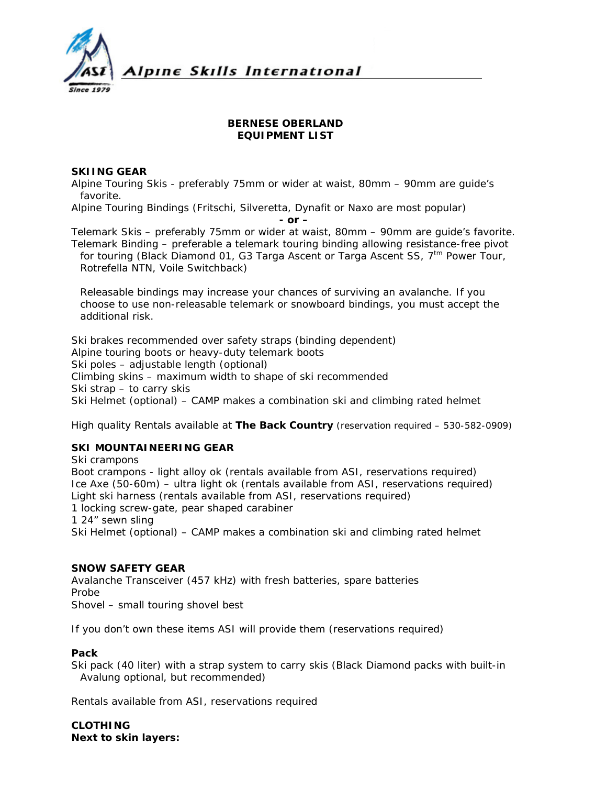

# **BERNESE OBERLAND EQUIPMENT LIST**

# **SKIING GEAR**

Alpine Touring Skis - preferably 75mm or wider at waist, 80mm – 90mm are guide's favorite.

Alpine Touring Bindings (Fritschi, Silveretta, Dynafit or Naxo are most popular)

*- or –* 

Telemark Skis – preferably 75mm or wider at waist, 80mm – 90mm are guide's favorite. Telemark Binding – preferable a telemark touring binding allowing resistance-free pivot for touring (Black Diamond 01, G3 Targa Ascent or Targa Ascent SS, 7<sup>tm</sup> Power Tour, Rotrefella NTN, Voile Switchback)

*Releasable bindings may increase your chances of surviving an avalanche. If you choose to use non-releasable telemark or snowboard bindings, you must accept the additional risk.* 

Ski brakes recommended over safety straps (binding dependent) Alpine touring boots or heavy-duty telemark boots Ski poles – adjustable length (optional) Climbing skins – maximum width to shape of ski recommended Ski strap – to carry skis Ski Helmet (optional) – CAMP makes a combination ski and climbing rated helmet

*High quality Rentals available at The Back Country (reservation required – 530-582-0909)* 

# **SKI MOUNTAINEERING GEAR**

Ski crampons Boot crampons - light alloy ok (rentals available from ASI, reservations required) Ice Axe (50-60m) – ultra light ok (rentals available from ASI, reservations required) Light ski harness (rentals available from ASI, reservations required) 1 locking screw-gate, pear shaped carabiner 1 24" sewn sling Ski Helmet (optional) – CAMP makes a combination ski and climbing rated helmet

# **SNOW SAFETY GEAR**

Avalanche Transceiver (457 kHz) with fresh batteries, spare batteries Probe Shovel – small touring shovel best

*If you don't own these items ASI will provide them (reservations required)* 

# **Pack**

Ski pack (40 liter) with a strap system to carry skis (Black Diamond packs with built-in Avalung optional, but recommended)

*Rentals available from ASI, reservations required* 

**CLOTHING Next to skin layers:**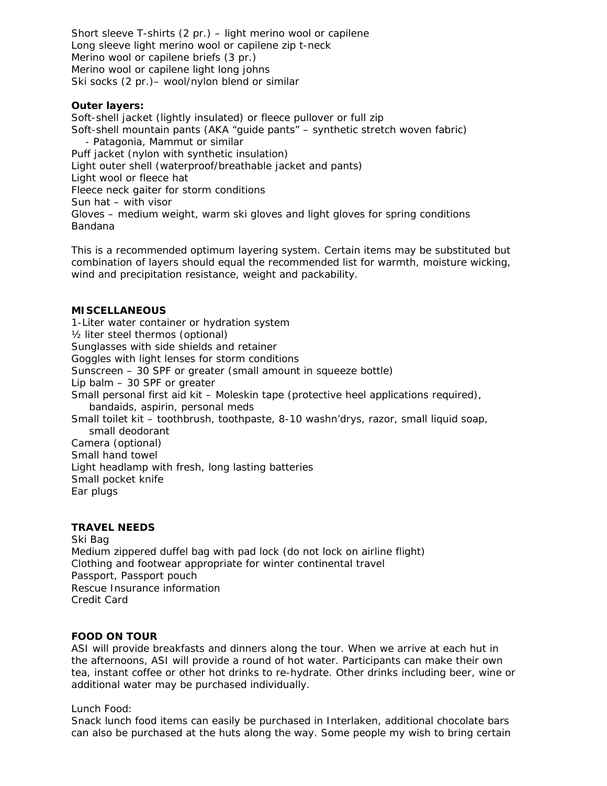Short sleeve T-shirts (2 pr.) – light merino wool or capilene Long sleeve light merino wool or capilene zip t-neck Merino wool or capilene briefs (3 pr.) Merino wool or capilene light long johns Ski socks (2 pr.)– wool/nylon blend or similar

### **Outer layers:**

Soft-shell jacket (lightly insulated) or fleece pullover or full zip Soft-shell mountain pants (AKA "guide pants" – synthetic stretch woven fabric) - Patagonia, Mammut or similar Puff jacket (nylon with synthetic insulation) Light outer shell (waterproof/breathable jacket and pants) Light wool or fleece hat Fleece neck gaiter for storm conditions Sun hat – with visor Gloves – medium weight, warm ski gloves and light gloves for spring conditions Bandana

*This is a recommended optimum layering system. Certain items may be substituted but combination of layers should equal the recommended list for warmth, moisture wicking, wind and precipitation resistance, weight and packability.* 

# **MISCELLANEOUS**

1-Liter water container or hydration system ½ liter steel thermos (optional) Sunglasses with side shields and retainer Goggles with light lenses for storm conditions Sunscreen – 30 SPF or greater (small amount in squeeze bottle) Lip balm – 30 SPF or greater Small personal first aid kit – Moleskin tape (protective heel applications required), bandaids, aspirin, personal meds Small toilet kit – toothbrush, toothpaste, 8-10 washn'drys, razor, small liquid soap, small deodorant Camera (optional) Small hand towel Light headlamp with fresh, long lasting batteries Small pocket knife Ear plugs

### **TRAVEL NEEDS**

Ski Bag Medium zippered duffel bag with pad lock (do not lock on airline flight) Clothing and footwear appropriate for winter continental travel Passport, Passport pouch Rescue Insurance information Credit Card

### **FOOD ON TOUR**

ASI will provide breakfasts and dinners along the tour. When we arrive at each hut in the afternoons, ASI will provide a round of hot water. Participants can make their own tea, instant coffee or other hot drinks to re-hydrate. Other drinks including beer, wine or additional water may be purchased individually.

Lunch Food:

Snack lunch food items can easily be purchased in Interlaken, additional chocolate bars can also be purchased at the huts along the way. Some people my wish to bring certain